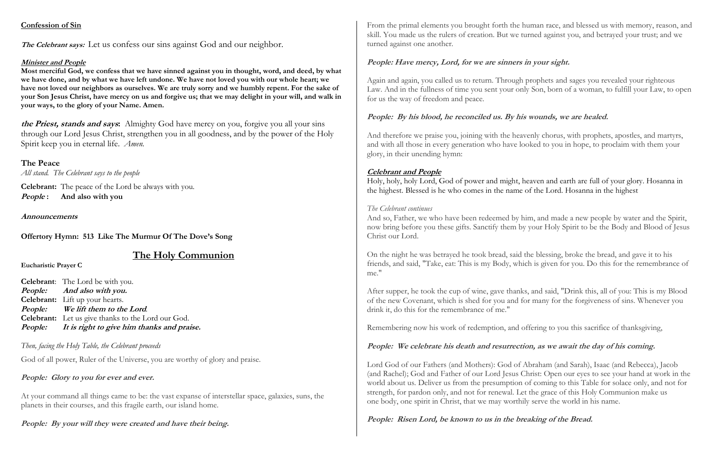### **Confession of Sin**

The Celebrant says: Let us confess our sins against God and our neighbor.

### **Minister and People**

**Most merciful God, we confess that we have sinned against you in thought, word, and deed, by what we have done, and by what we have left undone. We have not loved you with our whole heart; we have not loved our neighbors as ourselves. We are truly sorry and we humbly repent. For the sake of your Son Jesus Christ, have mercy on us and forgive us; that we may delight in your will, and walk in your ways, to the glory of your Name. Amen.**

**the Priest, stands and says:** Almighty God have mercy on you, forgive you all your sins through our Lord Jesus Christ, strengthen you in all goodness, and by the power of the Holy Spirit keep you in eternal life. *Amen.*

### **The Peace**

*All stand. The Celebrant says to the people*

**Celebrant:** The peace of the Lord be always with you. **People : And also with you**

### **Announcements**

**Offertory Hymn: 513 Like The Murmur Of The Dove's Song**

## **The Holy Communion**

### **Eucharistic Prayer C**

**Celebrant**: The Lord be with you. **People:****And also with you. Celebrant:** Lift up your hearts. **People:****We lift them to the Lord***.* **Celebrant:** Let us give thanks to the Lord our God. **People:****It is right to give him thanks and praise.**

### *Then, facing the Holy Table, the Celebrant proceeds*

God of all power, Ruler of the Universe, you are worthy of glory and praise.

### **People: Glory to you for ever and ever.**

At your command all things came to be: the vast expanse of interstellar space, galaxies, suns, the planets in their courses, and this fragile earth, our island home.

After supper, he took the cup of wine, gave thanks, and said, "Drink this, all of you: This is my Blood of the new Covenant, which is shed for you and for many for the forgiveness of sins. Whenever you drink it, do this for the remembrance of me."

### **People: By your will they were created and have their being.**

From the primal elements you brought forth the human race, and blessed us with memory, reason, and skill. You made us the rulers of creation. But we turned against you, and betrayed your trust; and we turned against one another.

## **People: Have mercy, Lord, for we are sinners in your sight.**

Again and again, you called us to return. Through prophets and sages you revealed your righteous Law. And in the fullness of time you sent your only Son, born of a woman, to fulfill your Law, to open for us the way of freedom and peace.

## **People: By his blood, he reconciled us. By his wounds, we are healed.**

And therefore we praise you, joining with the heavenly chorus, with prophets, apostles, and martyrs, and with all those in every generation who have looked to you in hope, to proclaim with them your glory, in their unending hymn:

### **Celebrant and People**

# Holy, holy, holy Lord, God of power and might, heaven and earth are full of your glory. Hosanna in

the highest. Blessed is he who comes in the name of the Lord. Hosanna in the highest

### *The Celebrant continues*

And so, Father, we who have been redeemed by him, and made a new people by water and the Spirit, now bring before you these gifts. Sanctify them by your Holy Spirit to be the Body and Blood of Jesus Christ our Lord.

On the night he was betrayed he took bread, said the blessing, broke the bread, and gave it to his friends, and said, "Take, eat: This is my Body, which is given for you. Do this for the remembrance of me."

Remembering now his work of redemption, and offering to you this sacrifice of thanksgiving,

### **People: We celebrate his death and resurrection, as we await the day of his coming.**

Lord God of our Fathers (and Mothers): God of Abraham (and Sarah), Isaac (and Rebecca), Jacob (and Rachel); God and Father of our Lord Jesus Christ: Open our eyes to see your hand at work in the world about us. Deliver us from the presumption of coming to this Table for solace only, and not for strength, for pardon only, and not for renewal. Let the grace of this Holy Communion make us one body, one spirit in Christ, that we may worthily serve the world in his name.

**People: Risen Lord, be known to us in the breaking of the Bread.**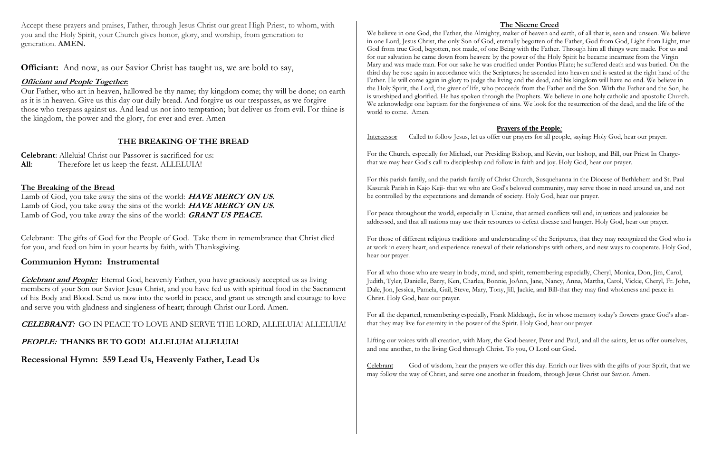Accept these prayers and praises, Father, through Jesus Christ our great High Priest, to whom, with you and the Holy Spirit, your Church gives honor, glory, and worship, from generation to generation. **AMEN.**

**Officiant:** And now, as our Savior Christ has taught us, we are bold to say,

### **Officiant and People Together:**

Our Father, who art in heaven, hallowed be thy name; thy kingdom come; thy will be done; on earth as it is in heaven. Give us this day our daily bread. And forgive us our trespasses, as we forgive those who trespass against us. And lead us not into temptation; but deliver us from evil. For thine is the kingdom, the power and the glory, for ever and ever. Amen

## **THE BREAKING OF THE BREAD**

**Celebrant**: Alleluia! Christ our Passover is sacrificed for us: **All**: Therefore let us keep the feast. ALLELUIA!

**Celebrant and People:** Eternal God, heavenly Father, you have graciously accepted us as living members of your Son our Savior Jesus Christ, and you have fed us with spiritual food in the Sacrament of his Body and Blood. Send us now into the world in peace, and grant us strength and courage to love and serve you with gladness and singleness of heart; through Christ our Lord. Amen.

### **The Breaking of the Bread**

Lamb of God, you take away the sins of the world: **HAVE MERCY ON US.** Lamb of God, you take away the sins of the world: **HAVE MERCY ON US.** Lamb of God, you take away the sins of the world: **GRANT US PEACE.**

Celebrant: The gifts of God for the People of God. Take them in remembrance that Christ died for you, and feed on him in your hearts by faith, with Thanksgiving.

## **Communion Hymn: Instrumental**

We believe in one God, the Father, the Almighty, maker of heaven and earth, of all that is, seen and unseen. We believe in one Lord, Jesus Christ, the only Son of God, eternally begotten of the Father, God from God, Light from Light, true God from true God, begotten, not made, of one Being with the Father. Through him all things were made. For us and for our salvation he came down from heaven: by the power of the Holy Spirit he became incarnate from the Virgin Mary and was made man. For our sake he was crucified under Pontius Pilate; he suffered death and was buried. On the third day he rose again in accordance with the Scriptures; he ascended into heaven and is seated at the right hand of the Father. He will come again in glory to judge the living and the dead, and his kingdom will have no end. We believe in the Holy Spirit, the Lord, the giver of life, who proceeds from the Father and the Son. With the Father and the Son, he is worshiped and glorified. He has spoken through the Prophets. We believe in one holy catholic and apostolic Church. We acknowledge one baptism for the forgiveness of sins. We look for the resurrection of the dead, and the life of the world to come. Amen.

**CELEBRANT:** GO IN PEACE TO LOVE AND SERVE THE LORD, ALLELUIA! ALLELUIA!

## **PEOPLE: THANKS BE TO GOD! ALLELUIA! ALLELUIA!**

**Recessional Hymn: 559 Lead Us, Heavenly Father, Lead Us**

### **The Nicene Creed**

### **Prayers of the People***:*

Intercessor Called to follow Jesus, let us offer our prayers for all people, saying: Holy God, hear our prayer.

For the Church, especially for Michael, our Presiding Bishop, and Kevin, our bishop, and Bill, our Priest In Chargethat we may hear God's call to discipleship and follow in faith and joy. Holy God, hear our prayer.

For this parish family, and the parish family of Christ Church, Susquehanna in the Diocese of Bethlehem and St. Paul Kasurak Parish in Kajo Keji- that we who are God's beloved community, may serve those in need around us, and not be controlled by the expectations and demands of society. Holy God, hear our prayer.

For peace throughout the world, especially in Ukraine, that armed conflicts will end, injustices and jealousies be addressed, and that all nations may use their resources to defeat disease and hunger. Holy God, hear our prayer.

For those of different religious traditions and understanding of the Scriptures, that they may recognized the God who is at work in every heart, and experience renewal of their relationships with others, and new ways to cooperate. Holy God, hear our prayer.

For all who those who are weary in body, mind, and spirit, remembering especially, Cheryl, Monica, Don, Jim, Carol, Judith, Tyler, Danielle, Barry, Ken, Charlea, Bonnie, JoAnn, Jane, Nancy, Anna, Martha, Carol, Vickie, Cheryl, Fr. John, Dale, Jon, Jessica, Pamela, Gail, Steve, Mary, Tony, Jill, Jackie, and Bill-that they may find wholeness and peace in Christ. Holy God, hear our prayer.

For all the departed, remembering especially, Frank Middaugh, for in whose memory today's flowers grace God's altarthat they may live for eternity in the power of the Spirit. Holy God, hear our prayer.

Lifting our voices with all creation, with Mary, the God-bearer, Peter and Paul, and all the saints, let us offer ourselves, and one another, to the living God through Christ. To you, O Lord our God.

Celebrant God of wisdom, hear the prayers we offer this day. Enrich our lives with the gifts of your Spirit, that we may follow the way of Christ, and serve one another in freedom, through Jesus Christ our Savior. Amen.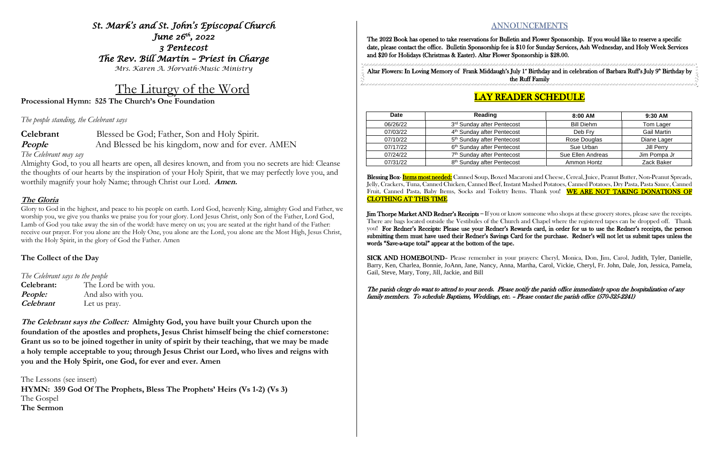## *St. Mark's and St. John's Episcopal Church June 26th , 2022 3 Pentecost The Rev. Bill Martin – Priest in Charge Mrs. Karen A. Horvath-Music Ministry*

# The Liturgy of the Word

### **Processional Hymn: 525 The Church's One Foundation**

*The people standing, the Celebrant says*

**Celebrant** Blessed be God; Father, Son and Holy Spirit.

**People** And Blessed be his kingdom, now and for ever. AMEN

### *The Celebrant may say*

Almighty God, to you all hearts are open, all desires known, and from you no secrets are hid: Cleanse the thoughts of our hearts by the inspiration of your Holy Spirit, that we may perfectly love you, and worthily magnify your holy Name; through Christ our Lord. **Amen.**

### **The Gloria**

Glory to God in the highest, and peace to his people on earth. Lord God, heavenly King, almighty God and Father, we worship you, we give you thanks we praise you for your glory. Lord Jesus Christ, only Son of the Father, Lord God, Lamb of God you take away the sin of the world: have mercy on us; you are seated at the right hand of the Father: receive our prayer. For you alone are the Holy One, you alone are the Lord, you alone are the Most High, Jesus Christ, with the Holy Spirit, in the glory of God the Father. Amen

### **The Collect of the Day**

*The Celebrant says to the people* **Celebrant:** The Lord be with you. **People:** And also with you. **Celebrant** Let us pray.

Blessing Box- **Items most needed:** Canned Soup, Boxed Macaroni and Cheese, Cereal, Juice, Peanut Butter, Non-Peanut Spreads, Jelly, Crackers, Tuna, Canned Chicken, Canned Beef, Instant Mashed Potatoes, Canned Potatoes, Dry Pasta, Pasta Sauce, Canned Fruit, Canned Pasta, Baby Items, Socks and Toiletry Items. Thank you! WE ARE NOT TAKING DONATIONS OF CLOTHING AT THIS TIME

**The Celebrant says the Collect: Almighty God, you have built your Church upon the foundation of the apostles and prophets, Jesus Christ himself being the chief cornerstone: Grant us so to be joined together in unity of spirit by their teaching, that we may be made a holy temple acceptable to you; through Jesus Christ our Lord, who lives and reigns with you and the Holy Spirit, one God, for ever and ever. Amen**

Jim Thorpe Market AND Redner's Receipts – If you or know someone who shops at these grocery stores, please save the receipts. There are bags located outside the Vestibules of the Church and Chapel where the registered tapes can be dropped off. Thank you! For Redner's Receipts: Please use your Redner's Rewards card, in order for us to use the Redner's receipts, the person submitting them must have used their Redner's Savings Card for the purchase. Redner's will not let us submit tapes unless the words "Save-a-tape total" appear at the bottom of the tape.

The Lessons (see insert) **HYMN: 359 God Of The Prophets, Bless The Prophets' Heirs (Vs 1-2) (Vs 3)** The Gospel **The Sermon**

## **ANNOUNCEMENTS**

The 2022 Book has opened to take reservations for Bulletin and Flower Sponsorship. If you would like to reserve a specific date, please contact the office. Bulletin Sponsorship fee is \$10 for Sunday Services, Ash Wednesday, and Holy Week Services and \$20 for Holidays (Christmas & Easter). Altar Flower Sponsorship is \$28.00.

Altar Flowers: In Loving Memory of Frank Middaugh's July 1\* Birthday and in celebration of Barbara Ruff's July 9<sup>th</sup> Birthday by  $\rm \frac{the~Ruff~Family}$  . The contract of the contract of the contract of the contract of the contract of the contract of the contract of the contract of the contract of the contract of the contract of the contract of the contrac

## LAY READER SCHEDULE

SICK AND HOMEBOUND– Please remember in your prayers: Cheryl, Monica, Don, Jim, Carol, Judith, Tyler, Danielle, Barry, Ken, Charlea, Bonnie, JoAnn, Jane, Nancy, Anna, Martha, Carol, Vickie, Cheryl, Fr. John, Dale, Jon, Jessica, Pamela, Gail, Steve, Mary, Tony, Jill, Jackie, and Bill

# The parish clergy do want to attend to your needs. Please notify the parish office immediately upon the hospitalization of any

family members. To schedule Baptisms, Weddings, etc. – Please contact the parish office (570-325-2241)

| Date     | Reading                                | 8:00 AM           | $9:30$ AM          |  |
|----------|----------------------------------------|-------------------|--------------------|--|
| 06/26/22 | 3rd Sunday after Pentecost             | <b>Bill Diehm</b> | Tom Lager          |  |
| 07/03/22 | 4 <sup>th</sup> Sunday after Pentecost | Deb Fry           | <b>Gail Martin</b> |  |
| 07/10/22 | 5 <sup>th</sup> Sunday after Pentecost | Rose Douglas      | Diane Lager        |  |
| 07/17/22 | 6 <sup>th</sup> Sunday after Pentecost | Sue Urban         | Jill Perry         |  |
| 07/24/22 | 7 <sup>th</sup> Sunday after Pentecost | Sue Ellen Andreas | Jim Pompa Jr       |  |
| 07/31/22 | 8 <sup>th</sup> Sunday after Pentecost | Ammon Hontz       | Zack Baker         |  |